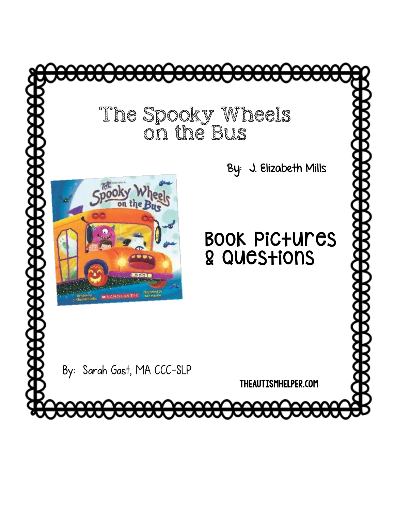<del>XXX XXXXX XXXXX</del>

<del>a booqaa b</del>

By: J. Elizabeth Mills

## BOOK PIC+UMCS & Questions

By: Sarah Gast, MA CCC-SLP

THEAUTISMHELPER.COM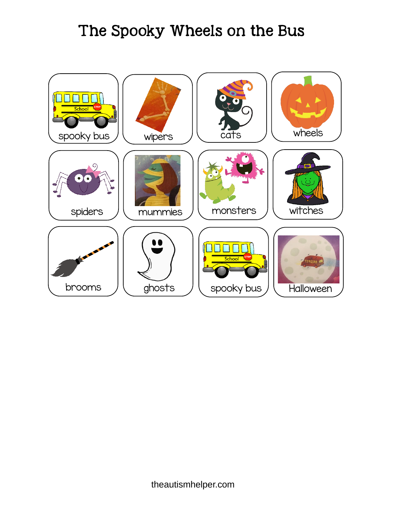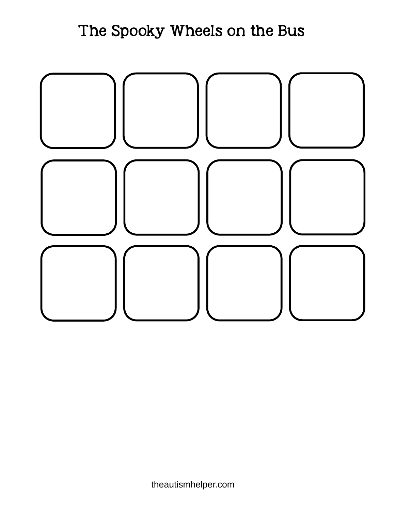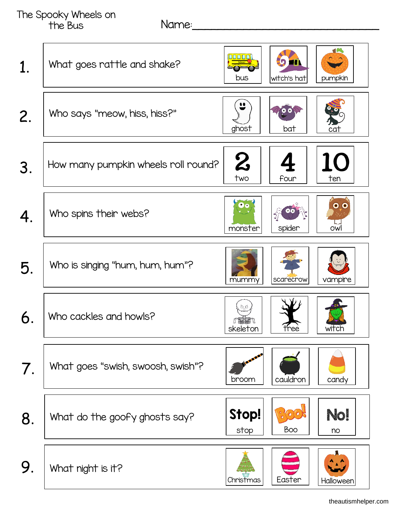|             | The Spooky Wheels on<br>Name:<br>the Bus |                                           |
|-------------|------------------------------------------|-------------------------------------------|
| $\mathbf 1$ | What goes rattle and shake?              | witch's hat<br>bus<br>pumpkin             |
| 2.          | Who says "meow, hiss, hiss?"             | "<br>ghost<br>bat<br>cat                  |
| 3.          | How many pumpkin wheels roll round?      | $\boldsymbol{2}$<br>two<br>four<br>ten    |
| 4.          | Who spins their webs?                    | $\bullet$<br>monster<br>spider<br>owl     |
| 5.          | Who is singing "hum, hum, hum"?          | vampire<br>scarecrow<br>mumm <sup>,</sup> |
| 6.          | Who cackles and howls?                   | <b>ASSE</b><br>skeleton<br>tree<br>witch  |
| 7.          | What goes "swish, swoosh, swish"?        | cauldron<br>broom<br>candy                |
| 8.          | What do the goofy ghosts say?            | Stop!<br>No!<br>Boo<br>stop<br>no         |
| 9.          | What night is it?                        | Easter<br>Christmas<br>Halloween          |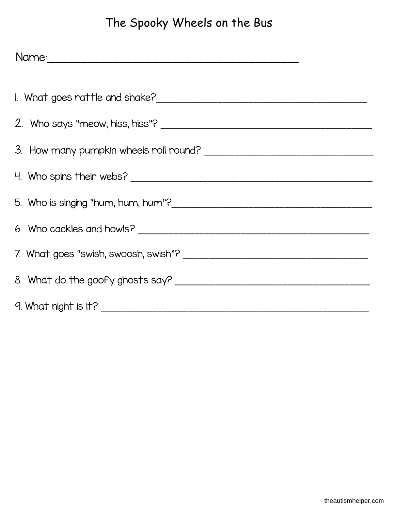| Name: <u>Communications and the set of the set of the set of the set of the set of the set of the set of the set of the set of the set of the set of the set of the set of the set of the set of the set of the set of the set o</u> |  |  |  |
|--------------------------------------------------------------------------------------------------------------------------------------------------------------------------------------------------------------------------------------|--|--|--|
|                                                                                                                                                                                                                                      |  |  |  |
|                                                                                                                                                                                                                                      |  |  |  |
|                                                                                                                                                                                                                                      |  |  |  |
|                                                                                                                                                                                                                                      |  |  |  |
|                                                                                                                                                                                                                                      |  |  |  |
|                                                                                                                                                                                                                                      |  |  |  |
|                                                                                                                                                                                                                                      |  |  |  |
|                                                                                                                                                                                                                                      |  |  |  |
|                                                                                                                                                                                                                                      |  |  |  |
|                                                                                                                                                                                                                                      |  |  |  |